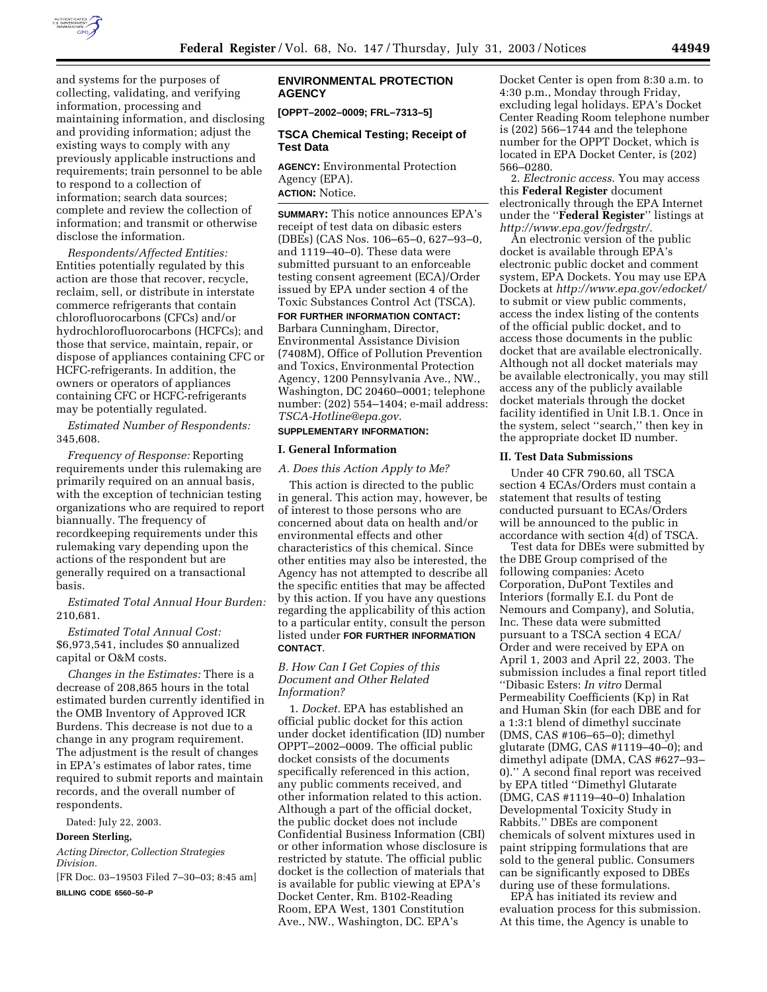

and systems for the purposes of collecting, validating, and verifying information, processing and maintaining information, and disclosing and providing information; adjust the existing ways to comply with any previously applicable instructions and requirements; train personnel to be able to respond to a collection of information; search data sources; complete and review the collection of information; and transmit or otherwise disclose the information.

*Respondents/Affected Entities:* Entities potentially regulated by this action are those that recover, recycle, reclaim, sell, or distribute in interstate commerce refrigerants that contain chlorofluorocarbons (CFCs) and/or hydrochlorofluorocarbons (HCFCs); and those that service, maintain, repair, or dispose of appliances containing CFC or HCFC-refrigerants. In addition, the owners or operators of appliances containing CFC or HCFC-refrigerants may be potentially regulated.

*Estimated Number of Respondents:* 345,608.

*Frequency of Response:* Reporting requirements under this rulemaking are primarily required on an annual basis, with the exception of technician testing organizations who are required to report biannually. The frequency of recordkeeping requirements under this rulemaking vary depending upon the actions of the respondent but are generally required on a transactional basis.

*Estimated Total Annual Hour Burden:* 210,681.

*Estimated Total Annual Cost:* \$6,973,541, includes \$0 annualized capital or O&M costs.

*Changes in the Estimates:* There is a decrease of 208,865 hours in the total estimated burden currently identified in the OMB Inventory of Approved ICR Burdens. This decrease is not due to a change in any program requirement. The adjustment is the result of changes in EPA's estimates of labor rates, time required to submit reports and maintain records, and the overall number of respondents.

Dated: July 22, 2003.

#### **Doreen Sterling,**

*Acting Director, Collection Strategies Division.*

[FR Doc. 03–19503 Filed 7–30–03; 8:45 am] **BILLING CODE 6560–50–P**

# **ENVIRONMENTAL PROTECTION AGENCY**

**[OPPT–2002–0009; FRL–7313–5]** 

### **TSCA Chemical Testing; Receipt of Test Data**

**AGENCY:** Environmental Protection Agency (EPA).

**ACTION:** Notice.

**SUMMARY:** This notice announces EPA's receipt of test data on dibasic esters (DBEs) (CAS Nos. 106–65–0, 627–93–0, and 1119–40–0). These data were submitted pursuant to an enforceable testing consent agreement (ECA)/Order issued by EPA under section 4 of the Toxic Substances Control Act (TSCA).

**FOR FURTHER INFORMATION CONTACT:** Barbara Cunningham, Director, Environmental Assistance Division (7408M), Office of Pollution Prevention and Toxics, Environmental Protection Agency, 1200 Pennsylvania Ave., NW., Washington, DC 20460–0001; telephone number: (202) 554–1404; e-mail address: *TSCA-Hotline@epa.gov*.

# **SUPPLEMENTARY INFORMATION:**

#### **I. General Information**

### *A. Does this Action Apply to Me?*

This action is directed to the public in general. This action may, however, be of interest to those persons who are concerned about data on health and/or environmental effects and other characteristics of this chemical. Since other entities may also be interested, the Agency has not attempted to describe all the specific entities that may be affected by this action. If you have any questions regarding the applicability of this action to a particular entity, consult the person listed under **FOR FURTHER INFORMATION CONTACT**.

# *B. How Can I Get Copies of this Document and Other Related Information?*

1. *Docket.* EPA has established an official public docket for this action under docket identification (ID) number OPPT–2002–0009. The official public docket consists of the documents specifically referenced in this action, any public comments received, and other information related to this action. Although a part of the official docket, the public docket does not include Confidential Business Information (CBI) or other information whose disclosure is restricted by statute. The official public docket is the collection of materials that is available for public viewing at EPA's Docket Center, Rm. B102-Reading Room, EPA West, 1301 Constitution Ave., NW., Washington, DC. EPA's

Docket Center is open from 8:30 a.m. to 4:30 p.m., Monday through Friday, excluding legal holidays. EPA's Docket Center Reading Room telephone number is (202) 566–1744 and the telephone number for the OPPT Docket, which is located in EPA Docket Center, is (202) 566–0280.

2. *Electronic access*. You may access this **Federal Register** document electronically through the EPA Internet under the ''**Federal Register**'' listings at *http://www.epa.gov/fedrgstr/*.

An electronic version of the public docket is available through EPA's electronic public docket and comment system, EPA Dockets. You may use EPA Dockets at *http://www.epa.gov/edocket/* to submit or view public comments, access the index listing of the contents of the official public docket, and to access those documents in the public docket that are available electronically. Although not all docket materials may be available electronically, you may still access any of the publicly available docket materials through the docket facility identified in Unit I.B.1. Once in the system, select ''search,'' then key in the appropriate docket ID number.

### **II. Test Data Submissions**

Under 40 CFR 790.60, all TSCA section 4 ECAs/Orders must contain a statement that results of testing conducted pursuant to ECAs/Orders will be announced to the public in accordance with section  $\tilde{4}(d)$  of TSCA.

Test data for DBEs were submitted by the DBE Group comprised of the following companies: Aceto Corporation, DuPont Textiles and Interiors (formally E.I. du Pont de Nemours and Company), and Solutia, Inc. These data were submitted pursuant to a TSCA section 4 ECA/ Order and were received by EPA on April 1, 2003 and April 22, 2003. The submission includes a final report titled ''Dibasic Esters: *In vitro* Dermal Permeability Coefficients (Kp) in Rat and Human Skin (for each DBE and for a 1:3:1 blend of dimethyl succinate (DMS, CAS #106–65–0); dimethyl glutarate (DMG, CAS #1119–40–0); and dimethyl adipate (DMA, CAS #627–93– 0).'' A second final report was received by EPA titled ''Dimethyl Glutarate (DMG, CAS #1119–40–0) Inhalation Developmental Toxicity Study in Rabbits.'' DBEs are component chemicals of solvent mixtures used in paint stripping formulations that are sold to the general public. Consumers can be significantly exposed to DBEs during use of these formulations.

EPA has initiated its review and evaluation process for this submission. At this time, the Agency is unable to